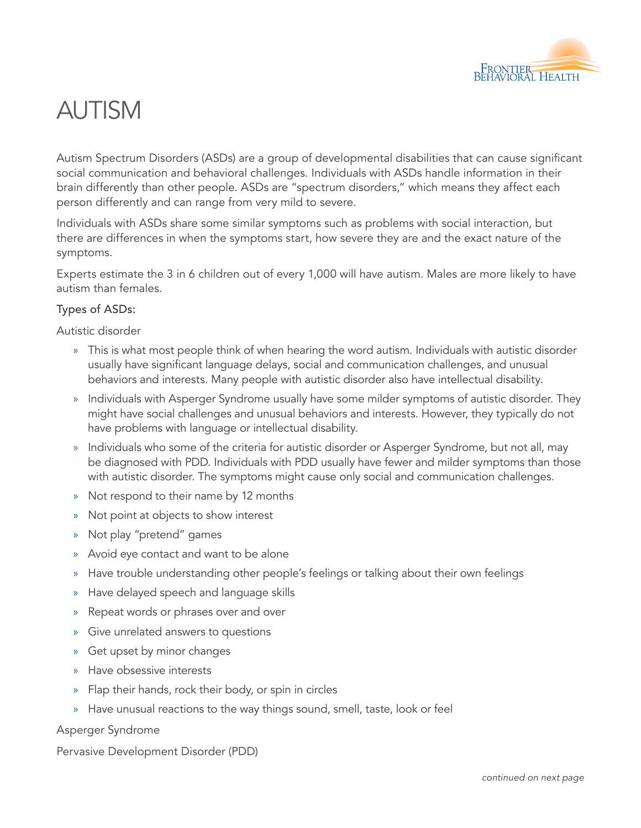

# AUTISM

Autism Spectrum Disorders (ASDs) are a group of developmental disabilities that can cause significant social communication and behavioral challenges. Individuals with ASDs handle information in their brain differently than other people. ASDs are "spectrum disorders," which means they affect each person differently and can range from very mild to severe.

Individuals with ASDs share some similar symptoms such as problems with social interaction, but there are differences in when the symptoms start, how severe they are and the exact nature of the symptoms.

Experts estimate the 3 in 6 children out of every 1,000 will have autism. Males are more likely to have autism than females.

### Types of ASDs:

Autistic disorder

- » This is what most people think of when hearing the word autism. Individuals with autistic disorder usually have significant language delays, social and communication challenges, and unusual behaviors and interests. Many people with autistic disorder also have intellectual disability.
- » Individuals with Asperger Syndrome usually have some milder symptoms of autistic disorder. They might have social challenges and unusual behaviors and interests. However, they typically do not have problems with language or intellectual disability.
- » Individuals who some of the criteria for autistic disorder or Asperger Syndrome, but not all, may be diagnosed with PDD. Individuals with PDD usually have fewer and milder symptoms than those with autistic disorder. The symptoms might cause only social and communication challenges.
- » Not respond to their name by 12 months
- » Not point at objects to show interest
- » Not play "pretend" games
- » Avoid eye contact and want to be alone
- » Have trouble understanding other people's feelings or talking about their own feelings
- » Have delayed speech and language skills
- » Repeat words or phrases over and over
- Give unrelated answers to questions
- » Get upset by minor changes
- » Have obsessive interests
- Flap their hands, rock their body, or spin in circles
- » Have unusual reactions to the way things sound, smell, taste, look or feel

#### Asperger Syndrome

Pervasive Development Disorder (PDD)